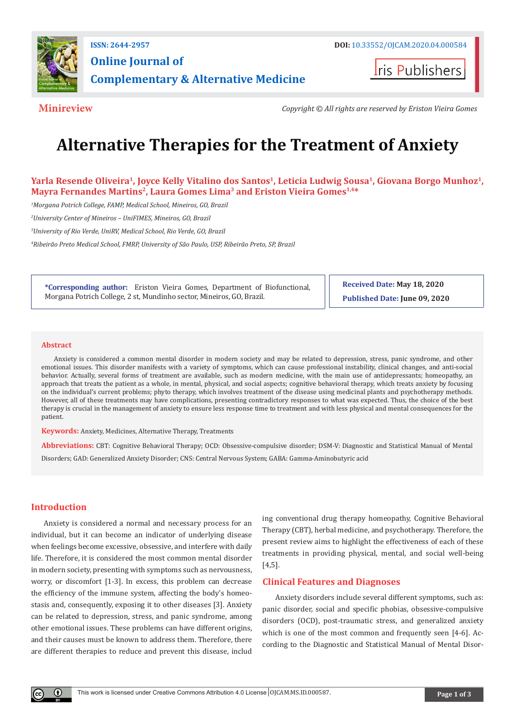

**Iris Publishers** 

**Minireview** *Copyright © All rights are reserved by Eriston Vieira Gomes*

# **Alternative Therapies for the Treatment of Anxiety**

Yarla Resende Oliveira<sup>1</sup>, Joyce Kelly Vitalino dos Santos<sup>1</sup>, Leticia Ludwig Sousa<sup>1</sup>, Giovana Borgo Munhoz<sup>1</sup>, **Mayra Fernandes Martins2, Laura Gomes Lima3 and Eriston Vieira Gomes1,4\***

*1 Morgana Potrich College, FAMP, Medical School, Mineiros, GO, Brazil*

*2 University Center of Mineiros – UniFIMES, Mineiros, GO, Brazil*

*3 University of Rio Verde, UniRV, Medical School, Rio Verde, GO, Brazil*

*4 Ribeirão Preto Medical School, FMRP, University of São Paulo, USP, Ribeirão Preto, SP, Brazil*

**\*Corresponding author:** Eriston Vieira Gomes, Department of Biofunctional, Morgana Potrich College, 2 st, Mundinho sector, Mineiros, GO, Brazil.

**Received Date: May 18, 2020 Published Date: June 09, 2020**

#### **Abstract**

Anxiety is considered a common mental disorder in modern society and may be related to depression, stress, panic syndrome, and other emotional issues. This disorder manifests with a variety of symptoms, which can cause professional instability, clinical changes, and anti-social behavior. Actually, several forms of treatment are available, such as modern medicine, with the main use of antidepressants; homeopathy, an approach that treats the patient as a whole, in mental, physical, and social aspects; cognitive behavioral therapy, which treats anxiety by focusing on the individual's current problems; phyto therapy, which involves treatment of the disease using medicinal plants and psychotherapy methods. However, all of these treatments may have complications, presenting contradictory responses to what was expected. Thus, the choice of the best therapy is crucial in the management of anxiety to ensure less response time to treatment and with less physical and mental consequences for the patient.

**Keywords:** Anxiety, Medicines, Alternative Therapy, Treatments

**Abbreviations:** CBT: Cognitive Behavioral Therapy; OCD: Obsessive-compulsive disorder; DSM-V: Diagnostic and Statistical Manual of Mental Disorders; GAD: Generalized Anxiety Disorder; CNS: Central Nervous System; GABA: Gamma-Aminobutyric acid

#### **Introduction**

Anxiety is considered a normal and necessary process for an individual, but it can become an indicator of underlying disease when feelings become excessive, obsessive, and interfere with daily life. Therefore, it is considered the most common mental disorder in modern society, presenting with symptoms such as nervousness, worry, or discomfort [1-3]. In excess, this problem can decrease the efficiency of the immune system, affecting the body's homeostasis and, consequently, exposing it to other diseases [3]. Anxiety can be related to depression, stress, and panic syndrome, among other emotional issues. These problems can have different origins, and their causes must be known to address them. Therefore, there are different therapies to reduce and prevent this disease, includ

ing conventional drug therapy homeopathy, Cognitive Behavioral Therapy (CBT), herbal medicine, and psychotherapy. Therefore, the present review aims to highlight the effectiveness of each of these treatments in providing physical, mental, and social well-being [4,5].

## **Clinical Features and Diagnoses**

Anxiety disorders include several different symptoms, such as: panic disorder, social and specific phobias, obsessive-compulsive disorders (OCD), post-traumatic stress, and generalized anxiety which is one of the most common and frequently seen [4-6]. According to the Diagnostic and Statistical Manual of Mental Disor-

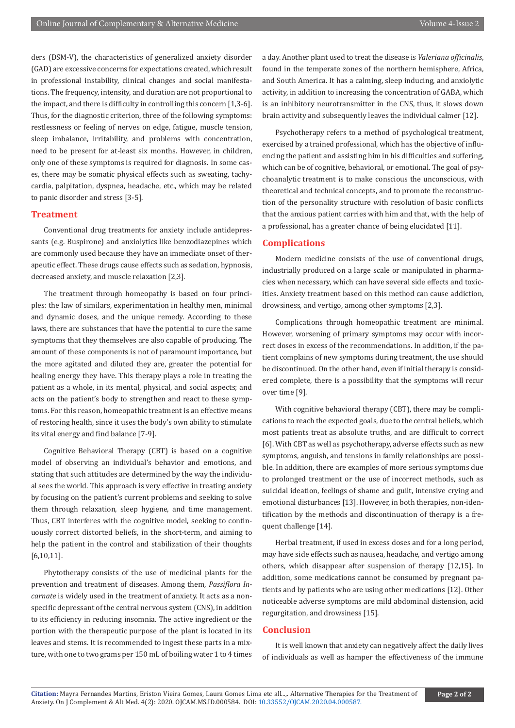ders (DSM-V), the characteristics of generalized anxiety disorder (GAD) are excessive concerns for expectations created, which result in professional instability, clinical changes and social manifestations. The frequency, intensity, and duration are not proportional to the impact, and there is difficulty in controlling this concern [1,3-6]. Thus, for the diagnostic criterion, three of the following symptoms: restlessness or feeling of nerves on edge, fatigue, muscle tension, sleep imbalance, irritability, and problems with concentration, need to be present for at-least six months. However, in children, only one of these symptoms is required for diagnosis. In some cases, there may be somatic physical effects such as sweating, tachycardia, palpitation, dyspnea, headache, etc., which may be related to panic disorder and stress [3-5].

## **Treatment**

Conventional drug treatments for anxiety include antidepressants (e.g. Buspirone) and anxiolytics like benzodiazepines which are commonly used because they have an immediate onset of therapeutic effect. These drugs cause effects such as sedation, hypnosis, decreased anxiety, and muscle relaxation [2,3].

The treatment through homeopathy is based on four principles: the law of similars, experimentation in healthy men, minimal and dynamic doses, and the unique remedy. According to these laws, there are substances that have the potential to cure the same symptoms that they themselves are also capable of producing. The amount of these components is not of paramount importance, but the more agitated and diluted they are, greater the potential for healing energy they have. This therapy plays a role in treating the patient as a whole, in its mental, physical, and social aspects; and acts on the patient's body to strengthen and react to these symptoms. For this reason, homeopathic treatment is an effective means of restoring health, since it uses the body's own ability to stimulate its vital energy and find balance [7-9].

Cognitive Behavioral Therapy (CBT) is based on a cognitive model of observing an individual's behavior and emotions, and stating that such attitudes are determined by the way the individual sees the world. This approach is very effective in treating anxiety by focusing on the patient's current problems and seeking to solve them through relaxation, sleep hygiene, and time management. Thus, CBT interferes with the cognitive model, seeking to continuously correct distorted beliefs, in the short-term, and aiming to help the patient in the control and stabilization of their thoughts [6,10,11].

Phytotherapy consists of the use of medicinal plants for the prevention and treatment of diseases. Among them, *Passiflora Incarnate* is widely used in the treatment of anxiety. It acts as a nonspecific depressant of the central nervous system (CNS), in addition to its efficiency in reducing insomnia. The active ingredient or the portion with the therapeutic purpose of the plant is located in its leaves and stems. It is recommended to ingest these parts in a mixture, with one to two grams per 150 mL of boiling water 1 to 4 times a day. Another plant used to treat the disease is *Valeriana officinalis*, found in the temperate zones of the northern hemisphere, Africa, and South America. It has a calming, sleep inducing, and anxiolytic activity, in addition to increasing the concentration of GABA, which is an inhibitory neurotransmitter in the CNS, thus, it slows down brain activity and subsequently leaves the individual calmer [12].

Psychotherapy refers to a method of psychological treatment, exercised by a trained professional, which has the objective of influencing the patient and assisting him in his difficulties and suffering, which can be of cognitive, behavioral, or emotional. The goal of psychoanalytic treatment is to make conscious the unconscious, with theoretical and technical concepts, and to promote the reconstruction of the personality structure with resolution of basic conflicts that the anxious patient carries with him and that, with the help of a professional, has a greater chance of being elucidated [11].

#### **Complications**

Modern medicine consists of the use of conventional drugs, industrially produced on a large scale or manipulated in pharmacies when necessary, which can have several side effects and toxicities. Anxiety treatment based on this method can cause addiction, drowsiness, and vertigo, among other symptoms [2,3].

Complications through homeopathic treatment are minimal. However, worsening of primary symptoms may occur with incorrect doses in excess of the recommendations. In addition, if the patient complains of new symptoms during treatment, the use should be discontinued. On the other hand, even if initial therapy is considered complete, there is a possibility that the symptoms will recur over time [9].

With cognitive behavioral therapy (CBT), there may be complications to reach the expected goals, due to the central beliefs, which most patients treat as absolute truths, and are difficult to correct [6]. With CBT as well as psychotherapy, adverse effects such as new symptoms, anguish, and tensions in family relationships are possible. In addition, there are examples of more serious symptoms due to prolonged treatment or the use of incorrect methods, such as suicidal ideation, feelings of shame and guilt, intensive crying and emotional disturbances [13]. However, in both therapies, non-identification by the methods and discontinuation of therapy is a frequent challenge [14].

Herbal treatment, if used in excess doses and for a long period, may have side effects such as nausea, headache, and vertigo among others, which disappear after suspension of therapy [12,15]. In addition, some medications cannot be consumed by pregnant patients and by patients who are using other medications [12]. Other noticeable adverse symptoms are mild abdominal distension, acid regurgitation, and drowsiness [15].

#### **Conclusion**

It is well known that anxiety can negatively affect the daily lives of individuals as well as hamper the effectiveness of the immune